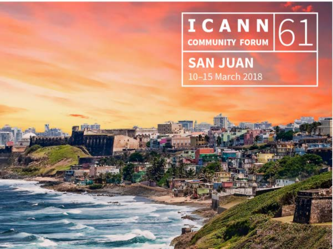

**SAN JUAN** 10-15 March 2018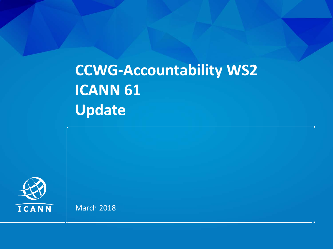#### **CCWG-Accountability WS2 ICANN 61 Update**



March 2018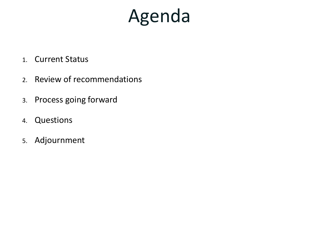## Agenda

- 1. Current Status
- 2. Review of recommendations
- 3. Process going forward
- 4. Questions
- 5. Adjournment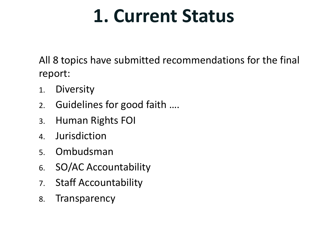#### **1. Current Status**

All 8 topics have submitted recommendations for the final report:

- 1. Diversity
- 2. Guidelines for good faith ….
- 3. Human Rights FOI
- 4. Jurisdiction
- 5. Ombudsman
- 6. SO/AC Accountability
- 7. Staff Accountability
- 8. Transparency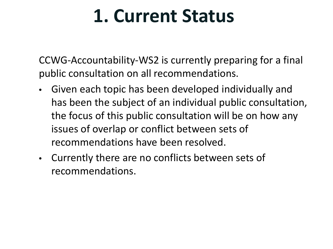#### **1. Current Status**

CCWG-Accountability-WS2 is currently preparing for a final public consultation on all recommendations.

- Given each topic has been developed individually and has been the subject of an individual public consultation, the focus of this public consultation will be on how any issues of overlap or conflict between sets of recommendations have been resolved.
- Currently there are no conflicts between sets of recommendations.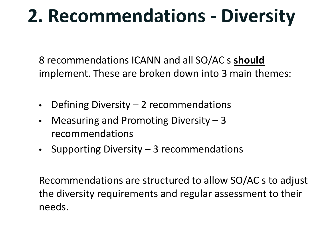## **2. Recommendations - Diversity**

8 recommendations ICANN and all SO/AC s **should** implement. These are broken down into 3 main themes:

- Defining Diversity  $-2$  recommendations
- Measuring and Promoting Diversity  $-3$ recommendations
- Supporting Diversity 3 recommendations

Recommendations are structured to allow SO/AC s to adjust the diversity requirements and regular assessment to their needs.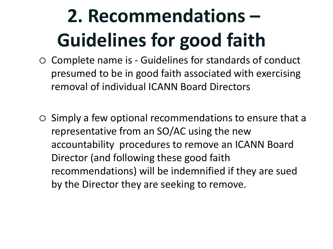## **2. Recommendations – Guidelines for good faith**

- Complete name is Guidelines for standards of conduct presumed to be in good faith associated with exercising removal of individual ICANN Board Directors
- $\circ$  Simply a few optional recommendations to ensure that a representative from an SO/AC using the new accountability procedures to remove an ICANN Board Director (and following these good faith recommendations) will be indemnified if they are sued by the Director they are seeking to remove.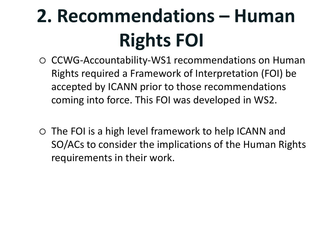## **2. Recommendations – Human Rights FOI**

- CCWG-Accountability-WS1 recommendations on Human Rights required a Framework of Interpretation (FOI) be accepted by ICANN prior to those recommendations coming into force. This FOI was developed in WS2.
- The FOI is a high level framework to help ICANN and SO/ACs to consider the implications of the Human Rights requirements in their work.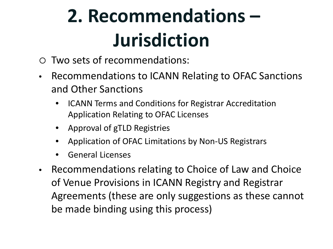## **2. Recommendations – Jurisdiction**

- Two sets of recommendations:
- Recommendations to ICANN Relating to OFAC Sanctions and Other Sanctions
	- ICANN Terms and Conditions for Registrar Accreditation Application Relating to OFAC Licenses
	- Approval of gTLD Registries
	- Application of OFAC Limitations by Non-US Registrars
	- General Licenses
- Recommendations relating to Choice of Law and Choice of Venue Provisions in ICANN Registry and Registrar Agreements (these are only suggestions as these cannot be made binding using this process)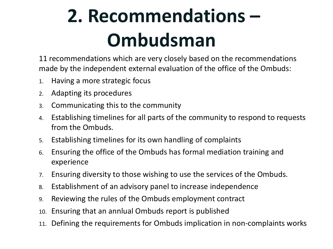## **2. Recommendations – Ombudsman**

11 recommendations which are very closely based on the recommendations made by the independent external evaluation of the office of the Ombuds:

- 1. Having a more strategic focus
- 2. Adapting its procedures
- 3. Communicating this to the community
- 4. Establishing timelines for all parts of the community to respond to requests from the Ombuds.
- 5. Establishing timelines for its own handling of complaints
- 6. Ensuring the office of the Ombuds has formal mediation training and experience
- 7. Ensuring diversity to those wishing to use the services of the Ombuds.
- 8. Establishment of an advisory panel to increase independence
- 9. Reviewing the rules of the Ombuds employment contract
- 10. Ensuring that an annlual Ombuds report is published
- 11. Defining the requirements for Ombuds implication in non-complaints works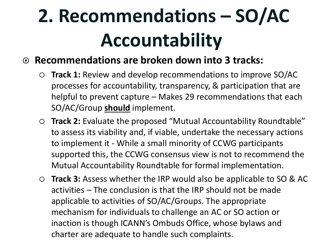## **2. Recommendations – SO/AC Accountability**

#### **Recommendations are broken down into 3 tracks:**

- **Track 1:** Review and develop recommendations to improve SO/AC processes for accountability, transparency, & participation that are helpful to prevent capture – Makes 29 recommendations that each SO/AC/Group **should** implement.
- **Track 2:** Evaluate the proposed "Mutual Accountability Roundtable" to assess its viability and, if viable, undertake the necessary actions to implement it - While a small minority of CCWG participants supported this, the CCWG consensus view is not to recommend the Mutual Accountability Roundtable for formal implementation.
- **Track 3:** Assess whether the IRP would also be applicable to SO & AC activities – The conclusion is that the IRP should not be made applicable to activities of SO/AC/Groups. The appropriate mechanism for individuals to challenge an AC or SO action or inaction is though ICANN's Ombuds Office, whose bylaws and charter are adequate to handle such complaints.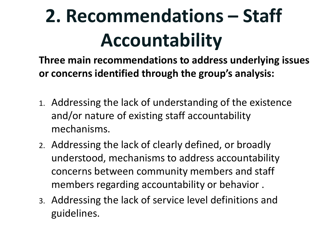## **2. Recommendations – Staff Accountability**

**Three main recommendations to address underlying issues or concerns identified through the group's analysis:**

- 1. Addressing the lack of understanding of the existence and/or nature of existing staff accountability mechanisms.
- 2. Addressing the lack of clearly defined, or broadly understood, mechanisms to address accountability concerns between community members and staff members regarding accountability or behavior .
- 3. Addressing the lack of service level definitions and guidelines.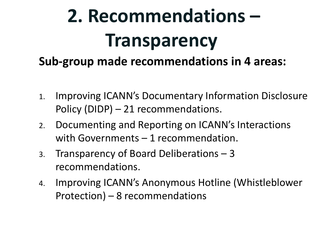# **2. Recommendations – Transparency**

#### **Sub-group made recommendations in 4 areas:**

- 1. Improving ICANN's Documentary Information Disclosure Policy (DIDP) – 21 recommendations.
- 2. Documenting and Reporting on ICANN's Interactions with Governments – 1 recommendation.
- 3. Transparency of Board Deliberations 3 recommendations.
- 4. Improving ICANN's Anonymous Hotline (Whistleblower Protection) – 8 recommendations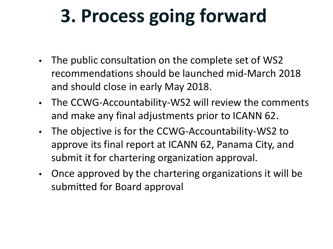## **3. Process going forward**

- The public consultation on the complete set of WS2 recommendations should be launched mid-March 2018 and should close in early May 2018.
- The CCWG-Accountability-WS2 will review the comments and make any final adjustments prior to ICANN 62.
- The objective is for the CCWG-Accountability-WS2 to approve its final report at ICANN 62, Panama City, and submit it for chartering organization approval.
- Once approved by the chartering organizations it will be submitted for Board approval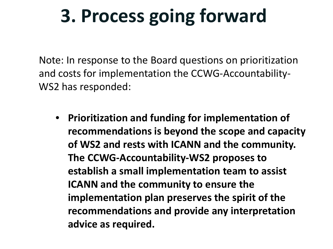## **3. Process going forward**

Note: In response to the Board questions on prioritization and costs for implementation the CCWG-Accountability-WS2 has responded:

• **Prioritization and funding for implementation of recommendations is beyond the scope and capacity of WS2 and rests with ICANN and the community. The CCWG-Accountability-WS2 proposes to establish a small implementation team to assist ICANN and the community to ensure the implementation plan preserves the spirit of the recommendations and provide any interpretation advice as required.**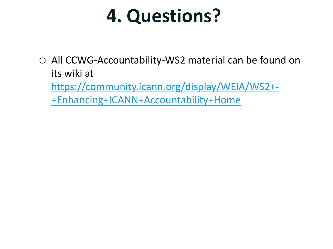#### **4. Questions?**

 All CCWG-Accountability-WS2 material can be found on its wiki at [https://community.icann.org/display/WEIA/WS2+-](https://community.icann.org/display/WEIA/WS2+-+Enhancing+ICANN+Accountability+Home) +Enhancing+ICANN+Accountability+Home